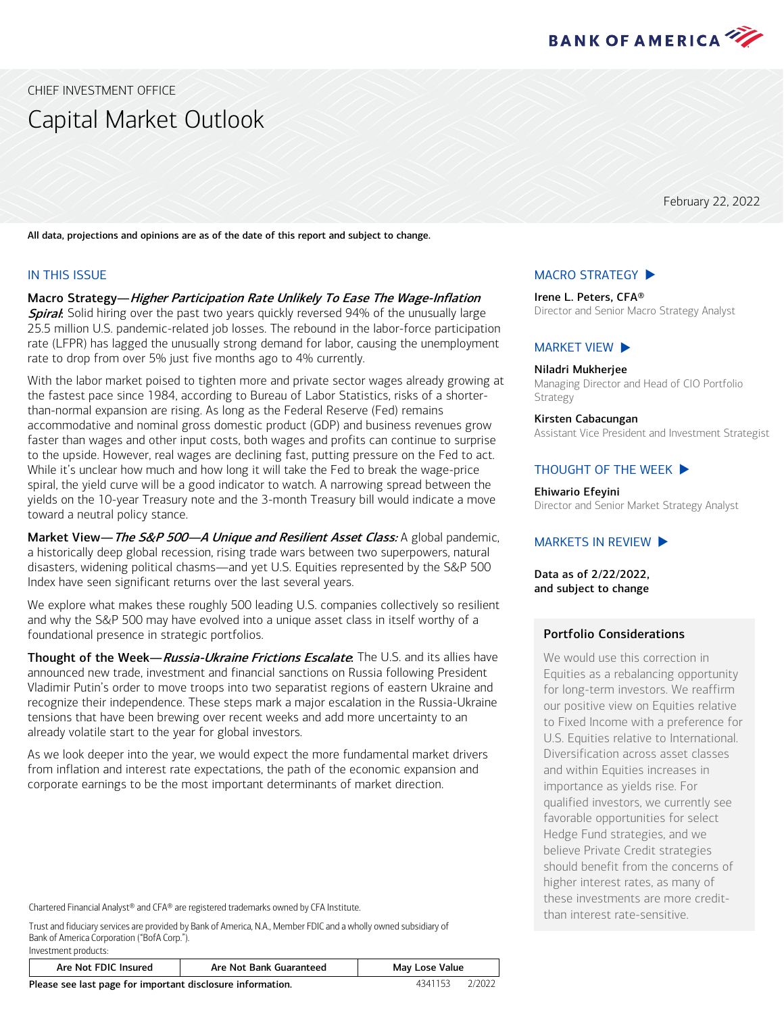

<span id="page-0-0"></span>CHIEF INVESTMENT OFFICE

# Capital Market Outlook

February 22, 2022

All data, projections and opinions are as of the date of this report and subject to change.

#### IN THIS ISSUE

Macro Strategy—Higher Participation Rate Unlikely To Ease The Wage-Inflation **Spiral:** Solid hiring over the past two years quickly reversed 94% of the unusually large 25.5 million U.S. pandemic-related job losses. The rebound in the labor-force participation rate (LFPR) has lagged the unusually strong demand for labor, causing the unemployment rate to drop from over 5% just five months ago to 4% currently.

With the labor market poised to tighten more and private sector wages already growing at the fastest pace since 1984, according to Bureau of Labor Statistics, risks of a shorterthan-normal expansion are rising. As long as the Federal Reserve (Fed) remains accommodative and nominal gross domestic product (GDP) and business revenues grow faster than wages and other input costs, both wages and profits can continue to surprise to the upside. However, real wages are declining fast, putting pressure on the Fed to act. While it's unclear how much and how long it will take the Fed to break the wage-price spiral, the yield curve will be a good indicator to watch. A narrowing spread between the yields on the 10-year Treasury note and the 3-month Treasury bill would indicate a move toward a neutral policy stance.

Market View— The S&P 500—A Unique and Resilient Asset Class: A global pandemic, a historically deep global recession, rising trade wars between two superpowers, natural disasters, widening political chasms—and yet U.S. Equities represented by the S&P 500 Index have seen significant returns over the last several years.

We explore what makes these roughly 500 leading U.S. companies collectively so resilient and why the S&P 500 may have evolved into a unique asset class in itself worthy of a foundational presence in strategic portfolios.

Thought of the Week—Russia-Ukraine Frictions Escalate. The U.S. and its allies have announced new trade, investment and financial sanctions on Russia following President Vladimir Putin's order to move troops into two separatist regions of eastern Ukraine and recognize their independence. These steps mark a major escalation in the Russia-Ukraine tensions that have been brewing over recent weeks and add more uncertainty to an already volatile start to the year for global investors.

As we look deeper into the year, we would expect the more fundamental market drivers from inflation and interest rate expectations, the path of the economic expansion and corporate earnings to be the most important determinants of market direction.

Chartered Financial Analyst® and CFA® are registered trademarks owned by CFA Institute.

Trust and fiduciary services are provided by Bank of America, N.A., Member FDIC and a wholly owned subsidiary of Bank of America Corporation ("BofA Corp."). Investment products:

Are Not FDIC Insured | Are Not Bank Guaranteed | May Lose Value

Please see last page for important disclosure information. 4341153 2/2022

[MARKET VIEW](#page-3-0)  $\blacktriangleright$ 

[MACRO STRATEGY](#page-1-0)  $\blacktriangleright$ Irene L. Peters, CFA®

Niladri Mukherjee Managing Director and Head of CIO Portfolio Strategy

Director and Senior Macro Strategy Analyst

Kirsten Cabacungan Assistant Vice President and Investment Strategist

#### THOUGHT [OF THE WEEK](#page-5-0)

Ehiwario Efeyini

Director and Senior Market Strategy Analyst

#### MARKETS [IN REVIEW](#page-6-0)  $\blacktriangleright$

Data as of 2/22/2022, and subject to change

#### Portfolio Considerations

We would use this correction in Equities as a rebalancing opportunity for long-term investors. We reaffirm our positive view on Equities relative to Fixed Income with a preference for U.S. Equities relative to International. Diversification across asset classes and within Equities increases in importance as yields rise. For qualified investors, we currently see favorable opportunities for select Hedge Fund strategies, and we believe Private Credit strategies should benefit from the concerns of higher interest rates, as many of these investments are more creditthan interest rate-sensitive.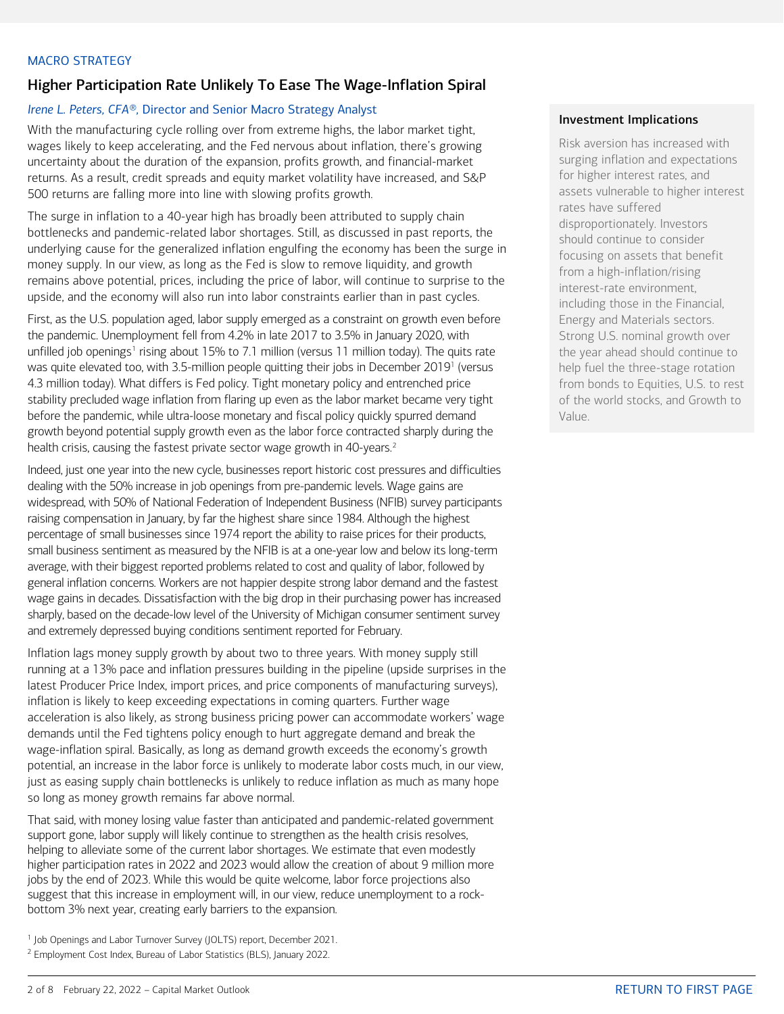#### <span id="page-1-0"></span>MACRO STRATEGY

# Higher Participation Rate Unlikely To Ease The Wage-Inflation Spiral

#### *Irene L. Peters, CFA®,* Director and Senior Macro Strategy Analyst

With the manufacturing cycle rolling over from extreme highs, the labor market tight, wages likely to keep accelerating, and the Fed nervous about inflation, there's growing uncertainty about the duration of the expansion, profits growth, and financial-market returns. As a result, credit spreads and equity market volatility have increased, and S&P 500 returns are falling more into line with slowing profits growth.

The surge in inflation to a 40-year high has broadly been attributed to supply chain bottlenecks and pandemic-related labor shortages. Still, as discussed in past reports, the underlying cause for the generalized inflation engulfing the economy has been the surge in money supply. In our view, as long as the Fed is slow to remove liquidity, and growth remains above potential, prices, including the price of labor, will continue to surprise to the upside, and the economy will also run into labor constraints earlier than in past cycles.

First, as the U.S. population aged, labor supply emerged as a constraint on growth even before the pandemic. Unemployment fell from 4.2% in late 2017 to 3.5% in January 2020, with unfilled job openings<sup>[1](#page-1-1)</sup> rising about 15% to 7.1 million (versus 11 million today). The quits rate was quite elevated too, with 3.5-million people quitting their jobs in December 2019<sup>1</sup> (versus 4.3 million today). What differs is Fed policy. Tight monetary policy and entrenched price stability precluded wage inflation from flaring up even as the labor market became very tight before the pandemic, while ultra-loose monetary and fiscal policy quickly spurred demand growth beyond potential supply growth even as the labor force contracted sharply during the health crisis, causing the fastest private sector wage growth in 40-years.<sup>[2](#page-1-2)</sup>

Indeed, just one year into the new cycle, businesses report historic cost pressures and difficulties dealing with the 50% increase in job openings from pre-pandemic levels. Wage gains are widespread, with 50% of National Federation of Independent Business (NFIB) survey participants raising compensation in January, by far the highest share since 1984. Although the highest percentage of small businesses since 1974 report the ability to raise prices for their products, small business sentiment as measured by the NFIB is at a one-year low and below its long-term average, with their biggest reported problems related to cost and quality of labor, followed by general inflation concerns. Workers are not happier despite strong labor demand and the fastest wage gains in decades. Dissatisfaction with the big drop in their purchasing power has increased sharply, based on the decade-low level of the University of Michigan consumer sentiment survey and extremely depressed buying conditions sentiment reported for February.

Inflation lags money supply growth by about two to three years. With money supply still running at a 13% pace and inflation pressures building in the pipeline (upside surprises in the latest Producer Price Index, import prices, and price components of manufacturing surveys), inflation is likely to keep exceeding expectations in coming quarters. Further wage acceleration is also likely, as strong business pricing power can accommodate workers' wage demands until the Fed tightens policy enough to hurt aggregate demand and break the wage-inflation spiral. Basically, as long as demand growth exceeds the economy's growth potential, an increase in the labor force is unlikely to moderate labor costs much, in our view, just as easing supply chain bottlenecks is unlikely to reduce inflation as much as many hope so long as money growth remains far above normal.

That said, with money losing value faster than anticipated and pandemic-related government support gone, labor supply will likely continue to strengthen as the health crisis resolves, helping to alleviate some of the current labor shortages. We estimate that even modestly higher participation rates in 2022 and 2023 would allow the creation of about 9 million more jobs by the end of 2023. While this would be quite welcome, labor force projections also suggest that this increase in employment will, in our view, reduce unemployment to a rockbottom 3% next year, creating early barriers to the expansion.

- <span id="page-1-1"></span><sup>1</sup> Job Openings and Labor Turnover Survey (JOLTS) report, December 2021.
- <span id="page-1-2"></span><sup>2</sup> Employment Cost Index, Bureau of Labor Statistics (BLS), January 2022.

#### Investment Implications

Risk aversion has increased with surging inflation and expectations for higher interest rates, and assets vulnerable to higher interest rates have suffered disproportionately. Investors should continue to consider focusing on assets that benefit from a high-inflation/rising interest-rate environment, including those in the Financial, Energy and Materials sectors. Strong U.S. nominal growth over the year ahead should continue to help fuel the three-stage rotation from bonds to Equities, U.S. to rest of the world stocks, and Growth to Value.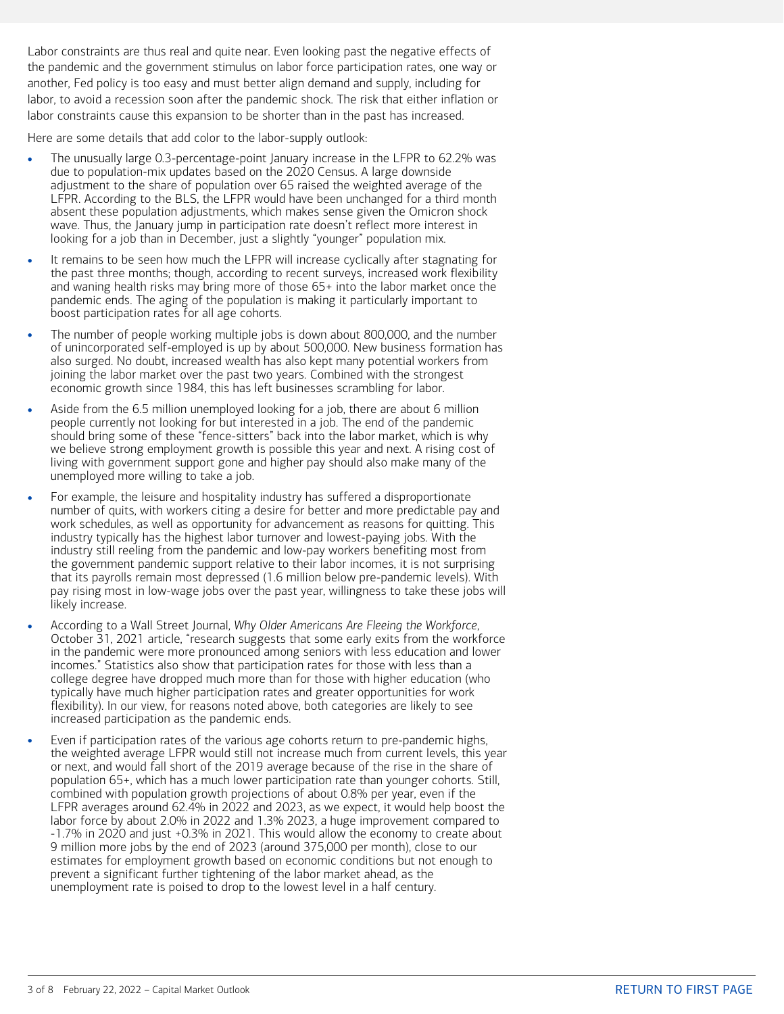Labor constraints are thus real and quite near. Even looking past the negative effects of the pandemic and the government stimulus on labor force participation rates, one way or another, Fed policy is too easy and must better align demand and supply, including for labor, to avoid a recession soon after the pandemic shock. The risk that either inflation or labor constraints cause this expansion to be shorter than in the past has increased.

Here are some details that add color to the labor-supply outlook:

- The unusually large 0.3-percentage-point January increase in the LFPR to 62.2% was due to population-mix updates based on the 2020 Census. A large downside adjustment to the share of population over 65 raised the weighted average of the LFPR. According to the BLS, the LFPR would have been unchanged for a third month absent these population adjustments, which makes sense given the Omicron shock wave. Thus, the January jump in participation rate doesn't reflect more interest in looking for a job than in December, just a slightly "younger" population mix.
- It remains to be seen how much the LFPR will increase cyclically after stagnating for the past three months; though, according to recent surveys, increased work flexibility and waning health risks may bring more of those 65+ into the labor market once the pandemic ends. The aging of the population is making it particularly important to boost participation rates for all age cohorts.
- The number of people working multiple jobs is down about 800,000, and the number of unincorporated self-employed is up by about 500,000. New business formation has also surged. No doubt, increased wealth has also kept many potential workers from joining the labor market over the past two years. Combined with the strongest economic growth since 1984, this has left businesses scrambling for labor.
- Aside from the 6.5 million unemployed looking for a job, there are about 6 million people currently not looking for but interested in a job. The end of the pandemic should bring some of these "fence-sitters" back into the labor market, which is why we believe strong employment growth is possible this year and next. A rising cost of living with government support gone and higher pay should also make many of the unemployed more willing to take a job.
- For example, the leisure and hospitality industry has suffered a disproportionate number of quits, with workers citing a desire for better and more predictable pay and work schedules, as well as opportunity for advancement as reasons for quitting. This industry typically has the highest labor turnover and lowest-paying jobs. With the industry still reeling from the pandemic and low-pay workers benefiting most from the government pandemic support relative to their labor incomes, it is not surprising that its payrolls remain most depressed (1.6 million below pre-pandemic levels). With pay rising most in low-wage jobs over the past year, willingness to take these jobs will likely increase.
- According to a Wall Street Journal, *Why Older Americans Are Fleeing the Workforce*, October 31, 2021 article, "research suggests that some early exits from the workforce in the pandemic were more pronounced among seniors with less education and lower incomes." Statistics also show that participation rates for those with less than a college degree have dropped much more than for those with higher education (who typically have much higher participation rates and greater opportunities for work flexibility). In our view, for reasons noted above, both categories are likely to see increased participation as the pandemic ends.
- Even if participation rates of the various age cohorts return to pre-pandemic highs, the weighted average LFPR would still not increase much from current levels, this year or next, and would fall short of the 2019 average because of the rise in the share of population 65+, which has a much lower participation rate than younger cohorts. Still, combined with population growth projections of about 0.8% per year, even if the LFPR averages around 62.4% in 2022 and 2023, as we expect, it would help boost the labor force by about 2.0% in 2022 and 1.3% 2023, a huge improvement compared to -1.7% in 2020 and just +0.3% in 2021. This would allow the economy to create about 9 million more jobs by the end of 2023 (around 375,000 per month), close to our estimates for employment growth based on economic conditions but not enough to prevent a significant further tightening of the labor market ahead, as the unemployment rate is poised to drop to the lowest level in a half century.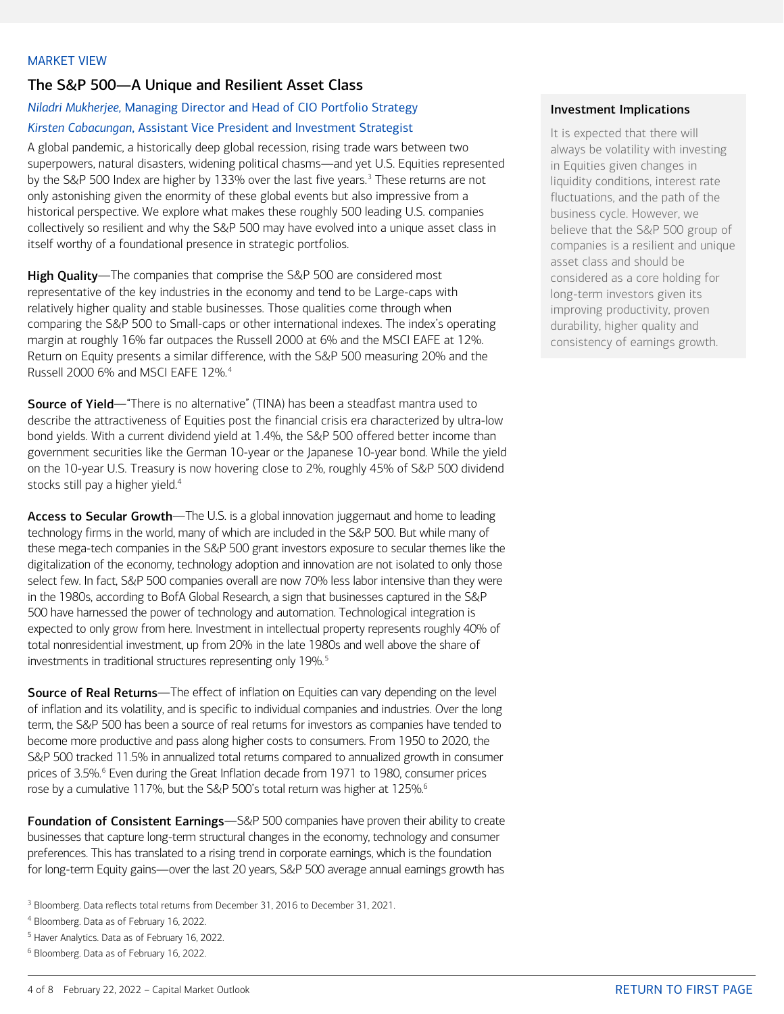# <span id="page-3-0"></span>The S&P 500—A Unique and Resilient Asset Class

# *Niladri Mukherjee,* Managing Director and Head of CIO Portfolio Strategy *Kirsten Cabacungan*, Assistant Vice President and Investment Strategist

A global pandemic, a historically deep global recession, rising trade wars between two superpowers, natural disasters, widening political chasms—and yet U.S. Equities represented by the S&P 500 Index are higher by 1[3](#page-3-1)3% over the last five years.<sup>3</sup> These returns are not only astonishing given the enormity of these global events but also impressive from a historical perspective. We explore what makes these roughly 500 leading U.S. companies collectively so resilient and why the S&P 500 may have evolved into a unique asset class in itself worthy of a foundational presence in strategic portfolios.

High Quality—The companies that comprise the S&P 500 are considered most representative of the key industries in the economy and tend to be Large-caps with relatively higher quality and stable businesses. Those qualities come through when comparing the S&P 500 to Small-caps or other international indexes. The index's operating margin at roughly 16% far outpaces the Russell 2000 at 6% and the MSCI EAFE at 12%. Return on Equity presents a similar difference, with the S&P 500 measuring 20% and the Russell 2000 6% and MSCI EAFE 12%.[4](#page-3-2)

Source of Yield—"There is no alternative" (TINA) has been a steadfast mantra used to describe the attractiveness of Equities post the financial crisis era characterized by ultra-low bond yields. With a current dividend yield at 1.4%, the S&P 500 offered better income than government securities like the German 10-year or the Japanese 10-year bond. While the yield on the 10-year U.S. Treasury is now hovering close to 2%, roughly 45% of S&P 500 dividend stocks still pay a higher yield.<sup>4</sup>

Access to Secular Growth—The U.S. is a global innovation juggernaut and home to leading technology firms in the world, many of which are included in the S&P 500. But while many of these mega-tech companies in the S&P 500 grant investors exposure to secular themes like the digitalization of the economy, technology adoption and innovation are not isolated to only those select few. In fact, S&P 500 companies overall are now 70% less labor intensive than they were in the 1980s, according to BofA Global Research, a sign that businesses captured in the S&P 500 have harnessed the power of technology and automation. Technological integration is expected to only grow from here. Investment in intellectual property represents roughly 40% of total nonresidential investment, up from 20% in the late 1980s and well above the share of investments in traditional structures representing only 19%.<sup>[5](#page-3-3)</sup>

**Source of Real Returns—The effect of inflation on Equities can vary depending on the level** of inflation and its volatility, and is specific to individual companies and industries. Over the long term, the S&P 500 has been a source of real returns for investors as companies have tended to become more productive and pass along higher costs to consumers. From 1950 to 2020, the S&P 500 tracked 11.5% in annualized total returns compared to annualized growth in consumer prices of 3.5%.<sup>[6](#page-3-4)</sup> Even during the Great Inflation decade from 1971 to 1980, consumer prices rose by a cumulative 117%, but the S&P 500's total return was higher at 125%.<sup>6</sup>

Foundation of Consistent Earnings-S&P 500 companies have proven their ability to create businesses that capture long-term structural changes in the economy, technology and consumer preferences. This has translated to a rising trend in corporate earnings, which is the foundation for long-term Equity gains—over the last 20 years, S&P 500 average annual earnings growth has

- <span id="page-3-1"></span><sup>3</sup> Bloomberg. Data reflects total returns from December 31, 2016 to December 31, 2021.
- <span id="page-3-2"></span><sup>4</sup> Bloomberg. Data as of February 16, 2022.
- <span id="page-3-3"></span><sup>5</sup> Haver Analytics. Data as of February 16, 2022.
- <span id="page-3-4"></span><sup>6</sup> Bloomberg. Data as of February 16, 2022.

## Investment Implications

It is expected that there will always be volatility with investing in Equities given changes in liquidity conditions, interest rate fluctuations, and the path of the business cycle. However, we believe that the S&P 500 group of companies is a resilient and unique asset class and should be considered as a core holding for long-term investors given its improving productivity, proven durability, higher quality and consistency of earnings growth.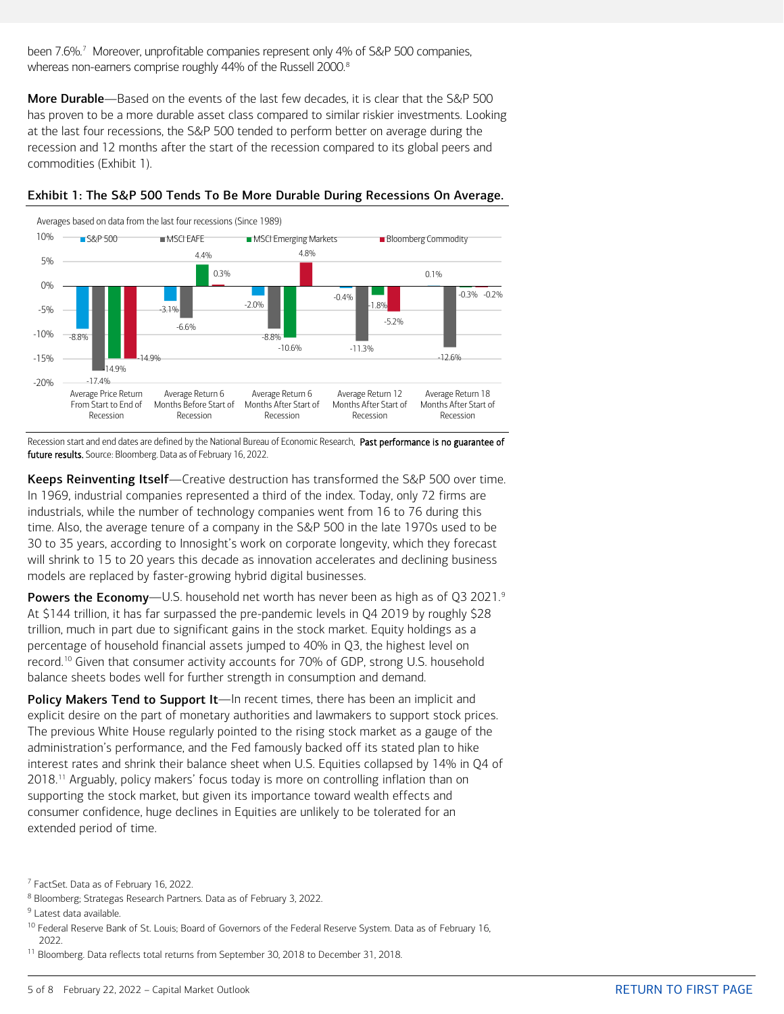been [7](#page-4-0).6%.<sup>7</sup> Moreover, unprofitable companies represent only 4% of S&P 500 companies, whereas non-earners comprise roughly 44% of the Russell 2000. [8](#page-4-1)

More Durable—Based on the events of the last few decades, it is clear that the S&P 500 has proven to be a more durable asset class compared to similar riskier investments. Looking at the last four recessions, the S&P 500 tended to perform better on average during the recession and 12 months after the start of the recession compared to its global peers and commodities (Exhibit 1).





Recession start and end dates are defined by the National Bureau of Economic Research. Past performance is no guarantee of future results. Source: Bloomberg. Data as of February 16, 2022.

Keeps Reinventing Itself-Creative destruction has transformed the S&P 500 over time. In 1969, industrial companies represented a third of the index. Today, only 72 firms are industrials, while the number of technology companies went from 16 to 76 during this time. Also, the average tenure of a company in the S&P 500 in the late 1970s used to be 30 to 35 years, according to Innosight's work on corporate longevity, which they forecast will shrink to 15 to 20 years this decade as innovation accelerates and declining business models are replaced by faster-growing hybrid digital businesses.

Powers the Economy—U.S. household net worth has never been as high as of Q3 2021.<sup>[9](#page-4-2)</sup> At \$144 trillion, it has far surpassed the pre-pandemic levels in Q4 2019 by roughly \$28 trillion, much in part due to significant gains in the stock market. Equity holdings as a percentage of household financial assets jumped to 40% in Q3, the highest level on record.[10](#page-4-3) Given that consumer activity accounts for 70% of GDP, strong U.S. household balance sheets bodes well for further strength in consumption and demand.

Policy Makers Tend to Support It—In recent times, there has been an implicit and explicit desire on the part of monetary authorities and lawmakers to support stock prices. The previous White House regularly pointed to the rising stock market as a gauge of the administration's performance, and the Fed famously backed off its stated plan to hike interest rates and shrink their balance sheet when U.S. Equities collapsed by 14% in Q4 of 2018.<sup>[11](#page-4-4)</sup> Arguably, policy makers' focus today is more on controlling inflation than on supporting the stock market, but given its importance toward wealth effects and consumer confidence, huge declines in Equities are unlikely to be tolerated for an extended period of time.

<span id="page-4-1"></span><sup>8</sup> Bloomberg; Strategas Research Partners. Data as of February 3, 2022.

<span id="page-4-3"></span><sup>10</sup> Federal Reserve Bank of St. Louis; Board of Governors of the Federal Reserve System. Data as of February 16, 2022.

<span id="page-4-4"></span><sup>11</sup> Bloomberg. Data reflects total returns from September 30, 2018 to December 31, 2018.

<span id="page-4-0"></span><sup>7</sup> FactSet. Data as of February 16, 2022.

<span id="page-4-2"></span><sup>&</sup>lt;sup>9</sup> Latest data available.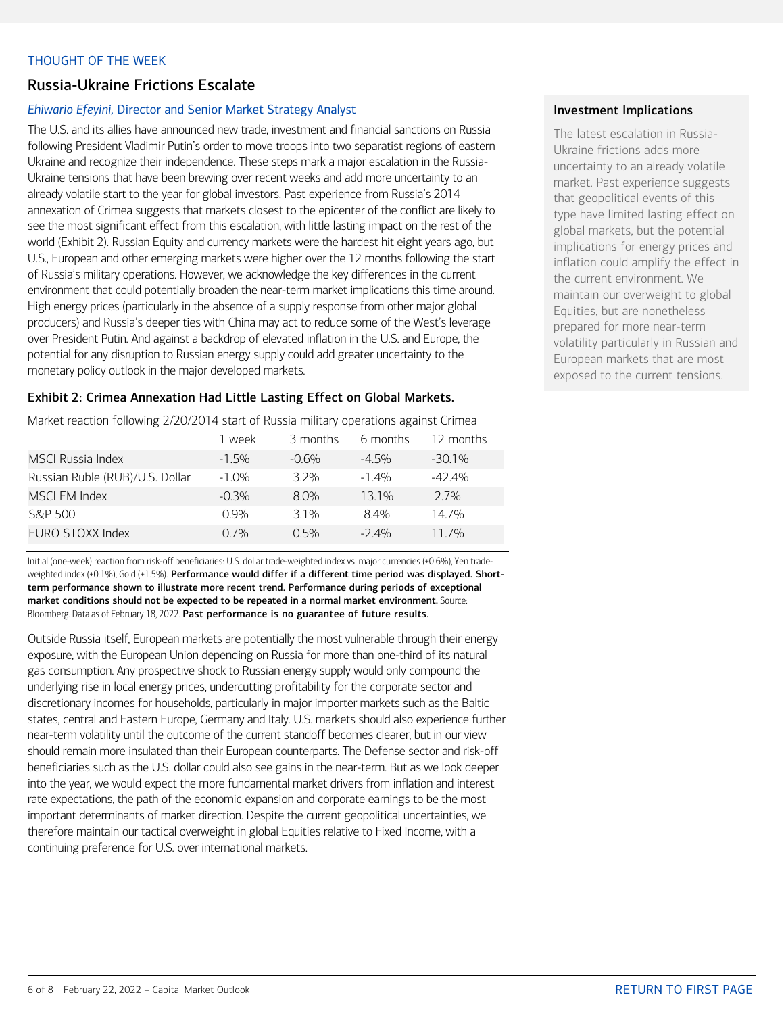#### <span id="page-5-0"></span>THOUGHT OF THE WEEK

# Russia-Ukraine Frictions Escalate

#### *Ehiwario Efeyini,* Director and Senior Market Strategy Analyst

The U.S. and its allies have announced new trade, investment and financial sanctions on Russia following President Vladimir Putin's order to move troops into two separatist regions of eastern Ukraine and recognize their independence. These steps mark a major escalation in the Russia-Ukraine tensions that have been brewing over recent weeks and add more uncertainty to an already volatile start to the year for global investors. Past experience from Russia's 2014 annexation of Crimea suggests that markets closest to the epicenter of the conflict are likely to see the most significant effect from this escalation, with little lasting impact on the rest of the world (Exhibit 2). Russian Equity and currency markets were the hardest hit eight years ago, but U.S., European and other emerging markets were higher over the 12 months following the start of Russia's military operations. However, we acknowledge the key differences in the current environment that could potentially broaden the near-term market implications this time around. High energy prices (particularly in the absence of a supply response from other major global producers) and Russia's deeper ties with China may act to reduce some of the West's leverage over President Putin. And against a backdrop of elevated inflation in the U.S. and Europe, the potential for any disruption to Russian energy supply could add greater uncertainty to the monetary policy outlook in the major developed markets.

#### Exhibit 2: Crimea Annexation Had Little Lasting Effect on Global Markets.

| Market reaction following 2/20/2014 start of Russia military operations against Crimea |          |          |          |           |  |  |  |
|----------------------------------------------------------------------------------------|----------|----------|----------|-----------|--|--|--|
|                                                                                        | week     | 3 months | 6 months | 12 months |  |  |  |
| <b>MSCI Russia Index</b>                                                               | $-1.5%$  | $-0.6%$  | $-4.5\%$ | $-30.1\%$ |  |  |  |
| Russian Ruble (RUB)/U.S. Dollar                                                        | $-1.0\%$ | 32%      | $-1.4\%$ | $-42.4\%$ |  |  |  |
| <b>MSCI EM Index</b>                                                                   | $-0.3%$  | 8.0%     | 13.1%    | 2.7%      |  |  |  |
| S&P 500                                                                                | 0.9%     | 3.1%     | 84%      | 14.7%     |  |  |  |
| EURO STOXX Index                                                                       | 0.7%     | $0.5\%$  | $-2.4\%$ | 11.7%     |  |  |  |

Initial (one-week) reaction from risk-off beneficiaries: U.S. dollar trade-weighted index vs. major currencies (+0.6%), Yen tradeweighted index (+0.1%), Gold (+1.5%). Performance would differ if a different time period was displayed. Shortterm performance shown to illustrate more recent trend. Performance during periods of exceptional market conditions should not be expected to be repeated in a normal market environment. Source: Bloomberg. Data as of February 18, 2022. Past performance is no guarantee of future results.

Outside Russia itself, European markets are potentially the most vulnerable through their energy exposure, with the European Union depending on Russia for more than one-third of its natural gas consumption. Any prospective shock to Russian energy supply would only compound the underlying rise in local energy prices, undercutting profitability for the corporate sector and discretionary incomes for households, particularly in major importer markets such as the Baltic states, central and Eastern Europe, Germany and Italy. U.S. markets should also experience further near-term volatility until the outcome of the current standoff becomes clearer, but in our view should remain more insulated than their European counterparts. The Defense sector and risk-off beneficiaries such as the U.S. dollar could also see gains in the near-term. But as we look deeper into the year, we would expect the more fundamental market drivers from inflation and interest rate expectations, the path of the economic expansion and corporate earnings to be the most important determinants of market direction. Despite the current geopolitical uncertainties, we therefore maintain our tactical overweight in global Equities relative to Fixed Income, with a continuing preference for U.S. over international markets.

#### Investment Implications

The latest escalation in Russia-Ukraine frictions adds more uncertainty to an already volatile market. Past experience suggests that geopolitical events of this type have limited lasting effect on global markets, but the potential implications for energy prices and inflation could amplify the effect in the current environment. We maintain our overweight to global Equities, but are nonetheless prepared for more near-term volatility particularly in Russian and European markets that are most exposed to the current tensions.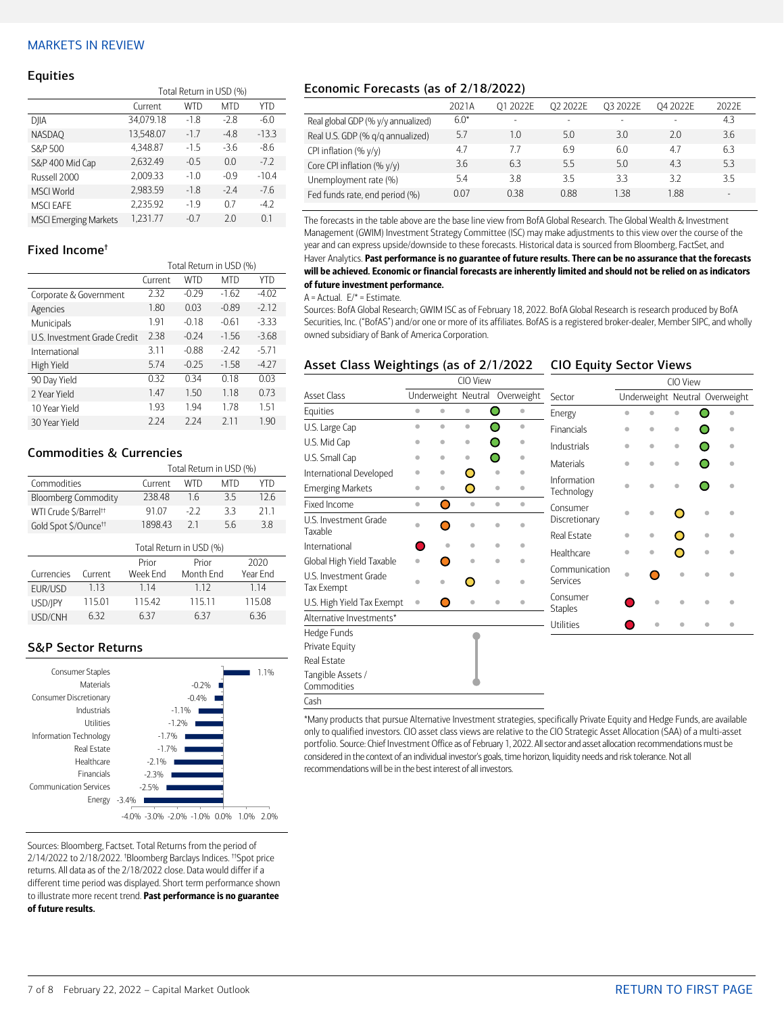#### <span id="page-6-0"></span>MARKETS IN REVIEW

#### **Equities**

|                              | Total Return in USD (%) |        |            |         |  |  |
|------------------------------|-------------------------|--------|------------|---------|--|--|
|                              | Current                 | WTD    | <b>MTD</b> | YTD     |  |  |
| DJIA                         | 34,079.18               | $-1.8$ | $-2.8$     | $-6.0$  |  |  |
| <b>NASDAO</b>                | 13,548.07               | $-1.7$ | $-4.8$     | $-13.3$ |  |  |
| S&P 500                      | 4.348.87                | $-1.5$ | $-3.6$     | $-8.6$  |  |  |
| S&P 400 Mid Cap              | 2.632.49                | $-0.5$ | 0.0        | $-7.2$  |  |  |
| Russell 2000                 | 2,009.33                | $-1.0$ | $-0.9$     | $-10.4$ |  |  |
| <b>MSCI World</b>            | 2,983.59                | $-1.8$ | $-2.4$     | $-7.6$  |  |  |
| <b>MSCI EAFE</b>             | 2.235.92                | $-1.9$ | 07         | $-4.2$  |  |  |
| <b>MSCI Emerging Markets</b> | 1.231.77                | $-0.7$ | 2.0        | 0.1     |  |  |

#### Fixed Income†

|                              | Total Return in USD (%) |            |            |         |  |
|------------------------------|-------------------------|------------|------------|---------|--|
|                              | Current                 | <b>WTD</b> | <b>MTD</b> | YTD     |  |
| Corporate & Government       | 2.32                    | $-0.29$    | $-1.62$    | $-4.02$ |  |
| Agencies                     | 1.80                    | 0.03       | $-0.89$    | $-2.12$ |  |
| Municipals                   | 1.91                    | $-0.18$    | $-0.61$    | $-3.33$ |  |
| U.S. Investment Grade Credit | 2.38                    | $-0.24$    | $-1.56$    | $-3.68$ |  |
| International                | 3.11                    | $-0.88$    | $-242$     | $-5.71$ |  |
| High Yield                   | 5.74                    | $-0.25$    | $-1.58$    | $-4.27$ |  |
| 90 Day Yield                 | 0.32                    | 0.34       | 018        | 0.03    |  |
| 2 Year Yield                 | 1.47                    | 1.50       | 1.18       | 0.73    |  |
| 10 Year Yield                | 1.93                    | 1.94       | 1.78       | 1.51    |  |
| 30 Year Yield                | 2.24                    | 2.24       | 211        | 1.90    |  |

### Commodities & Currencies

|                                   |                         | Total Return in USD (%) |            |            |          |  |  |
|-----------------------------------|-------------------------|-------------------------|------------|------------|----------|--|--|
| Commodities                       |                         | Current                 | <b>WTD</b> | <b>MTD</b> | YTD      |  |  |
| <b>Bloomberg Commodity</b>        |                         | 238.48                  | 1.6        | 3.5        | 12.6     |  |  |
| WTI Crude \$/Barrel <sup>++</sup> |                         | 91.07                   | $-2.2$     | 3.3        | 21.1     |  |  |
| Gold Spot \$/Ounce <sup>tt</sup>  |                         | 1898.43                 | 21         | 5.6        | 3.8      |  |  |
|                                   | Total Return in USD (%) |                         |            |            |          |  |  |
|                                   |                         | Prior                   | Prior      |            | 2020     |  |  |
| Currencies                        | Current                 | Week Fnd                | Month Fnd  |            | Year Fnd |  |  |
| EUR/USD                           | 1.13                    | 1.14                    | 1 1 2      |            | 1.14     |  |  |
| USD/IPY                           | 115.01                  | 115.42                  | 115.11     |            | 115.08   |  |  |

USD/CNH 6.32 6.37 6.37 6.36

### S&P Sector Returns



Sources: Bloomberg, Factset. Total Returns from the period of 2/14/2022 to 2/18/2022. † Bloomberg Barclays Indices. ††Spot price returns. All data as of the 2/18/2022 close. Data would differ if a different time period was displayed. Short term performance shown to illustrate more recent trend. Past performance is no guarantee of future results.

## Economic Forecasts (as of 2/18/2022)

|                                    | 2021A  | 01 2022F | O <sub>2</sub> 2022E     | O3 2022E                 | 04 2022E | 2022F |
|------------------------------------|--------|----------|--------------------------|--------------------------|----------|-------|
| Real global GDP (% y/y annualized) | $6.0*$ |          | $\overline{\phantom{0}}$ | $\overline{\phantom{a}}$ | $\sim$   | 4.3   |
| Real U.S. GDP (% q/q annualized)   | 5.7    | 1.0      | 5.0                      | 3.0                      | 2.0      | 3.6   |
| CPI inflation $(\% \gamma/\gamma)$ | 4.7    |          | 6.9                      | 6.0                      | 4.7      | 6.3   |
| Core CPI inflation (% y/y)         | 3.6    | 6.3      | 5.5                      | 5.0                      | 4.3      | 5.3   |
| Unemployment rate (%)              | 5.4    | 3.8      | 3.5                      | 33                       | 32       | 3.5   |
| Fed funds rate, end period (%)     | 0.07   | 0.38     | 0.88                     | 138                      | 1.88     |       |

The forecasts in the table above are the base line view from BofA Global Research. The Global Wealth & Investment Management (GWIM) Investment Strategy Committee (ISC) may make adjustments to this view over the course of the year and can express upside/downside to these forecasts. Historical data is sourced from Bloomberg, FactSet, and Haver Analytics. Past performance is no guarantee of future results. There can be no assurance that the forecasts will be achieved. Economic or financial forecasts are inherently limited and should not be relied on as indicators of future investment performance.

#### $A =$  Actual.  $E/* =$  Estimate.

Sources: BofA Global Research; GWIM ISC as of February 18, 2022. BofA Global Research is research produced by BofA Securities, Inc. ("BofAS") and/or one or more of its affiliates. BofAS is a registered broker-dealer, Member SIPC, and wholly owned subsidiary of Bank of America Corporation.

#### Asset Class Weightings (as of 2/1/2022 CIO Equity Sector Views

|                                     | CIO View            |                         |           |                                      |                            | CIO View                       |              |           |   |   |
|-------------------------------------|---------------------|-------------------------|-----------|--------------------------------------|----------------------------|--------------------------------|--------------|-----------|---|---|
| <b>Asset Class</b>                  | Underweight Neutral |                         |           | Overweight                           | Sector                     | Underweight Neutral Overweight |              |           |   |   |
| Equities                            | $\bullet$           | $\bullet$               | $\bullet$ | O<br>$\bullet$                       | Energy                     | $\bullet$                      |              |           |   |   |
| U.S. Large Cap                      | $\bullet$           | $\bullet$               | $\bullet$ | ∩<br>$\bullet$                       | <b>Financials</b>          | $\bullet$                      | $\bullet$    | ۰         |   | ۵ |
| U.S. Mid Cap                        | ۰                   | ۰                       | ۰         | Ω<br>٥                               | Industrials                | ۰                              | $\bullet$    | $\bullet$ |   | ۰ |
| U.S. Small Cap                      | ۰                   | ۰                       | ۰         | ∩<br>٠                               | <b>Materials</b>           | ò                              | ö            | $\bullet$ |   |   |
| International Developed             | ۰                   | ۰                       | Ο         | $\bullet$                            |                            |                                |              |           |   |   |
| <b>Emerging Markets</b>             | ۰                   | $\qquad \qquad \bullet$ | O         | $\bullet$                            | Information<br>Technology  | ó                              | $\bullet$    | ۵         |   |   |
| Fixed Income                        | $\bullet$           | Ο                       | $\bullet$ | $\bullet$<br>$\qquad \qquad \bullet$ | Consumer                   |                                |              |           |   |   |
| U.S. Investment Grade<br>Taxable    | ó                   | ∩                       | ó         | ٠                                    | Discretionary              | $\bullet$                      | $\bullet$    | Ω         | ۰ |   |
|                                     |                     |                         |           |                                      | Real Estate                | ۰                              | ۰            | O         | ۰ | ۵ |
| International                       |                     | ó                       | ۵         | ó<br>۵                               | Healthcare                 | $\bullet$                      | ö            |           | ۰ |   |
| Global High Yield Taxable           | $\bullet$           |                         | $\bullet$ | $\bullet$                            | Communication              |                                |              |           |   |   |
| U.S. Investment Grade<br>Tax Exempt |                     |                         |           | ó                                    | Services                   | $\bullet$                      |              | ó         |   |   |
| U.S. High Yield Tax Exempt          | $\bullet$           | O                       | $\bullet$ | $\bullet$<br>٠                       | Consumer<br><b>Staples</b> |                                | $\triangleq$ | ó         | ۵ |   |
| Alternative Investments*            |                     |                         |           |                                      | <b>Utilities</b>           |                                | $\triangleq$ |           |   | ۰ |
| Hedge Funds                         |                     |                         |           |                                      |                            |                                |              |           |   |   |
| Private Equity                      |                     |                         |           |                                      |                            |                                |              |           |   |   |
| Real Estate                         |                     |                         |           |                                      |                            |                                |              |           |   |   |
| Tangible Assets /<br>Commodities    |                     |                         |           |                                      |                            |                                |              |           |   |   |
| Cash                                |                     |                         |           |                                      |                            |                                |              |           |   |   |

\*Many products that pursue Alternative Investment strategies, specifically Private Equity and Hedge Funds, are available only to qualified investors. CIO asset class views are relative to the CIO Strategic Asset Allocation (SAA) of a multi-asset portfolio. Source: Chief Investment Office as of February 1, 2022. All sector and asset allocation recommendations must be considered in the context of an individual investor's goals, time horizon, liquidity needs and risk tolerance. Not all recommendations will be in the best interest of all investors.